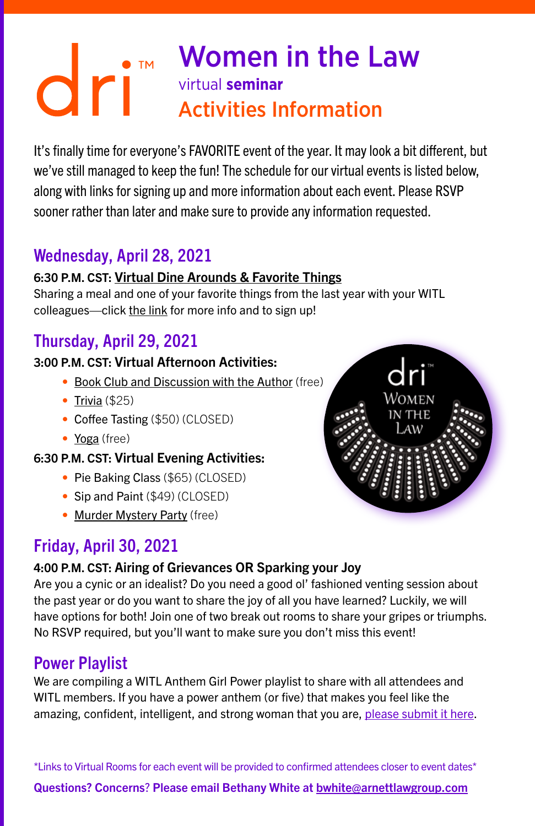# Women in the Law virtual **seminar** Activities Information

It's finally time for everyone's FAVORITE event of the year. It may look a bit different, but we've still managed to keep the fun! The schedule for our virtual events is listed below, along with links for signing up and more information about each event. Please RSVP sooner rather than later and make sure to provide any information requested.

## Wednesday, April 28, 2021

#### 6:30 P.M. CST: [Virtual Dine Arounds & Favorite Things](https://www.signupgenius.com/go/5080c48a5af2aa6fb6-virtual)

Sharing a meal and one of your favorite things from the last year with your WITL colleagues—click [the link](https://www.signupgenius.com/go/5080c48a5af2aa6fb6-virtual) for more info and to sign up!

## Thursday, April 29, 2021

#### 3:00 P.M. CST: Virtual Afternoon Activities:

- [Book Club and Discussion with the Author](https://www.signupgenius.com/go/5080c48a5af2aa6fb6-virtual1) (free)
- [Trivia](https://www.signupgenius.com/go/5080c48a5af2aa6fb6-virtual4) (\$25)
- Coffee Tasting (\$50) (CLOSED)
- [Yoga](https://www.signupgenius.com/go/5080c48a5af2aa6fb6-virtual2) (free)

#### 6:30 P.M. CST: Virtual Evening Activities:

- Pie Baking Class (\$65) (CLOSED)
- Sip and Paint (\$49) (CLOSED)
- [Murder Mystery Party](https://www.signupgenius.com/go/5080c48a5af2aa6fb6-murder) (free)



#### 4:00 P.M. CST: Airing of Grievances OR Sparking your Joy

Are you a cynic or an idealist? Do you need a good ol' fashioned venting session about the past year or do you want to share the joy of all you have learned? Luckily, we will have options for both! Join one of two break out rooms to share your gripes or triumphs. No RSVP required, but you'll want to make sure you don't miss this event!

### Power Playlist

We are compiling a WITL Anthem Girl Power playlist to share with all attendees and WITL members. If you have a power anthem (or five) that makes you feel like the amazing, confident, intelligent, and strong woman that you are, [please submit it here.](https://www.signupgenius.com/go/5080c48a5af2aa6fb6-witl2)

\*Links to Virtual Rooms for each event will be provided to confirmed attendees closer to event dates\* Questions? Concerns? Please email Bethany White at [bwhite@arnettlawgroup.com](mailto:bwhite%40arnettlawgroup.com?subject=)